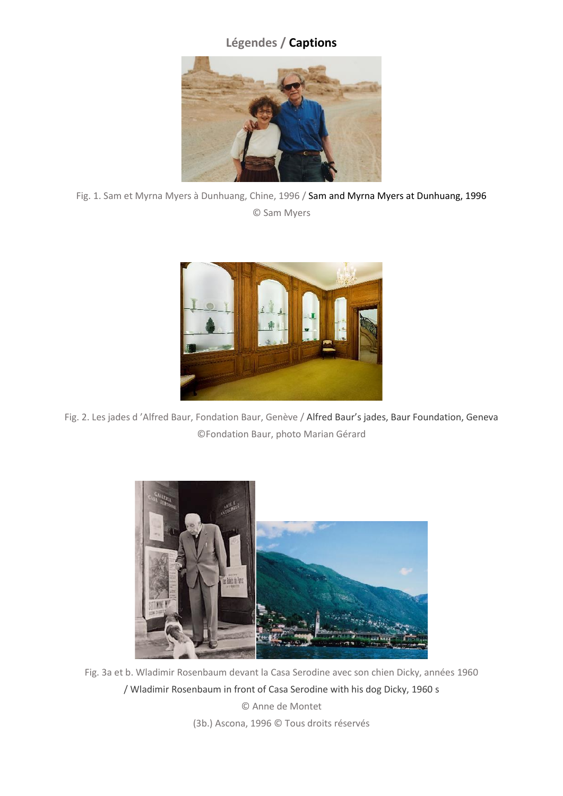## **Légendes / Captions**



Fig. 1. Sam et Myrna Myers à Dunhuang, Chine, 1996 / Sam and Myrna Myers at Dunhuang, 1996 © Sam Myers



Fig. 2. Les jades d 'Alfred Baur, Fondation Baur, Genève / Alfred Baur's jades, Baur Foundation, Geneva ©Fondation Baur, photo Marian Gérard



Fig. 3a et b. Wladimir Rosenbaum devant la Casa Serodine avec son chien Dicky, années 1960 / Wladimir Rosenbaum in front of Casa Serodine with his dog Dicky, 1960 s © Anne de Montet

(3b.) Ascona, 1996 © Tous droits réservés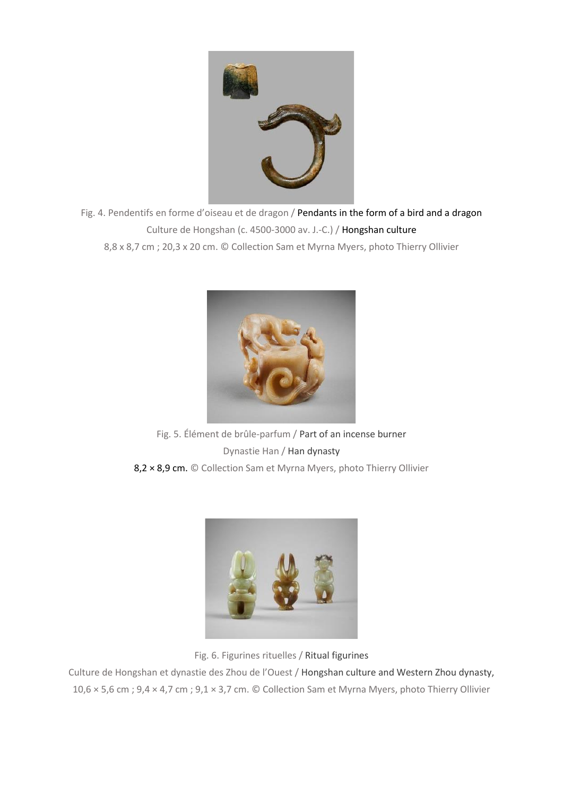

Fig. 4. Pendentifs en forme d'oiseau et de dragon / Pendants in the form of a bird and a dragon Culture de Hongshan (c. 4500-3000 av. J.-C.) / Hongshan culture 8,8 x 8,7 cm ; 20,3 x 20 cm. © Collection Sam et Myrna Myers, photo Thierry Ollivier



Fig. 5. Élément de brûle-parfum / Part of an incense burner Dynastie Han / Han dynasty 8,2 × 8,9 cm. © Collection Sam et Myrna Myers, photo Thierry Ollivier



Fig. 6. Figurines rituelles / Ritual figurines

Culture de Hongshan et dynastie des Zhou de l'Ouest / Hongshan culture and Western Zhou dynasty, 10,6 × 5,6 cm ; 9,4 × 4,7 cm ; 9,1 × 3,7 cm. © Collection Sam et Myrna Myers, photo Thierry Ollivier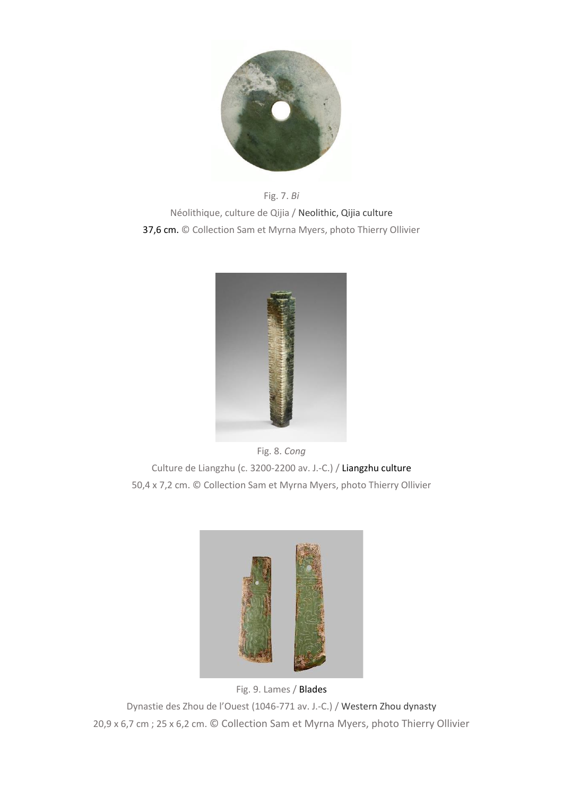

Fig. 7. *Bi* Néolithique, culture de Qijia / Neolithic, Qijia culture 37,6 cm. © Collection Sam et Myrna Myers, photo Thierry Ollivier



Fig. 8. *Cong* Culture de Liangzhu (c. 3200-2200 av. J.-C.) / Liangzhu culture 50,4 x 7,2 cm. © Collection Sam et Myrna Myers, photo Thierry Ollivier



Fig. 9. Lames / Blades Dynastie des Zhou de l'Ouest (1046-771 av. J.-C.) / Western Zhou dynasty 20,9 x 6,7 cm ; 25 x 6,2 cm. © Collection Sam et Myrna Myers, photo Thierry Ollivier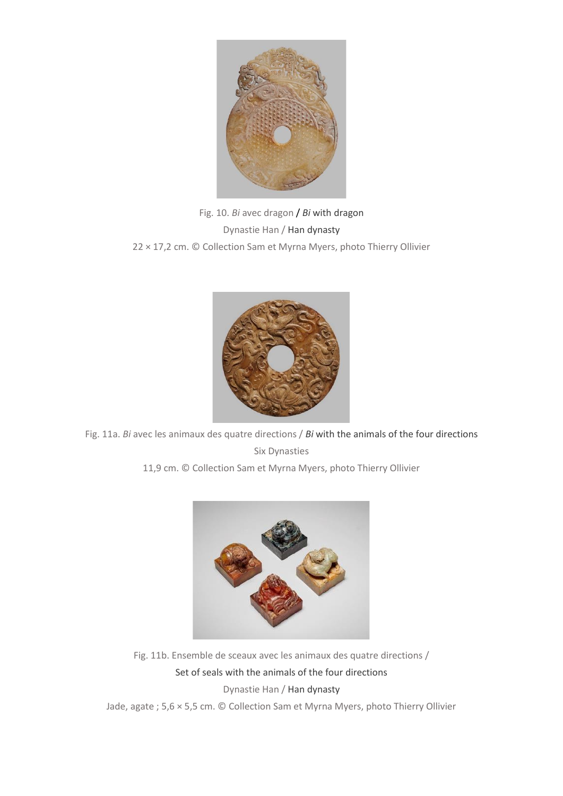

Fig. 10. *Bi* avec dragon / *Bi* with dragon Dynastie Han / Han dynasty 22 × 17,2 cm. © Collection Sam et Myrna Myers, photo Thierry Ollivier



Fig. 11a. *Bi* avec les animaux des quatre directions / *Bi* with the animals of the four directions Six Dynasties

11,9 cm. © Collection Sam et Myrna Myers, photo Thierry Ollivier



Fig. 11b. Ensemble de sceaux avec les animaux des quatre directions / Set of seals with the animals of the four directions Dynastie Han / Han dynasty

Jade, agate ; 5,6 × 5,5 cm. © Collection Sam et Myrna Myers, photo Thierry Ollivier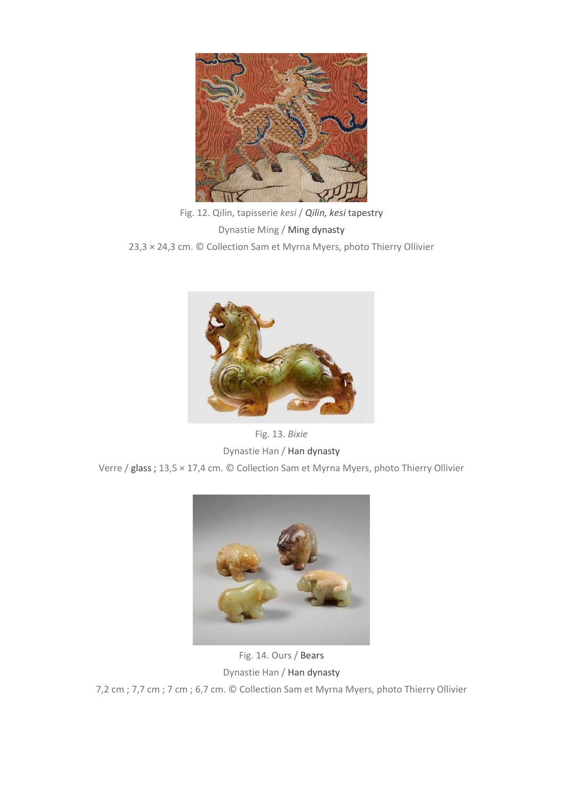

Fig. 12. Qilin, tapisserie *kesi* / *Qilin, kesi* tapestry Dynastie Ming / Ming dynasty 23,3 × 24,3 cm. © Collection Sam et Myrna Myers, photo Thierry Ollivier



Fig. 13. *Bixie* Dynastie Han / Han dynasty Verre / glass ; 13,5 × 17,4 cm. © Collection Sam et Myrna Myers, photo Thierry Ollivier



Fig. 14. Ours / Bears Dynastie Han / Han dynasty 7,2 cm ; 7,7 cm ; 7 cm ; 6,7 cm. © Collection Sam et Myrna Myers, photo Thierry Ollivier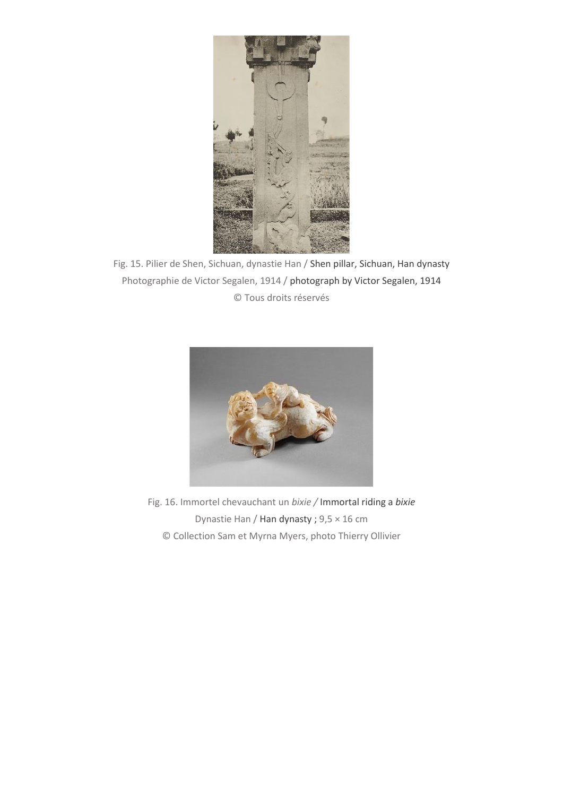

Fig. 15. Pilier de Shen, Sichuan, dynastie Han / Shen pillar, Sichuan, Han dynasty Photographie de Victor Segalen, 1914 / photograph by Victor Segalen, 1914 © Tous droits réservés



Fig. 16. Immortel chevauchant un *bixie /* Immortal riding a *bixie* Dynastie Han / Han dynasty ; 9,5 × 16 cm © Collection Sam et Myrna Myers, photo Thierry Ollivier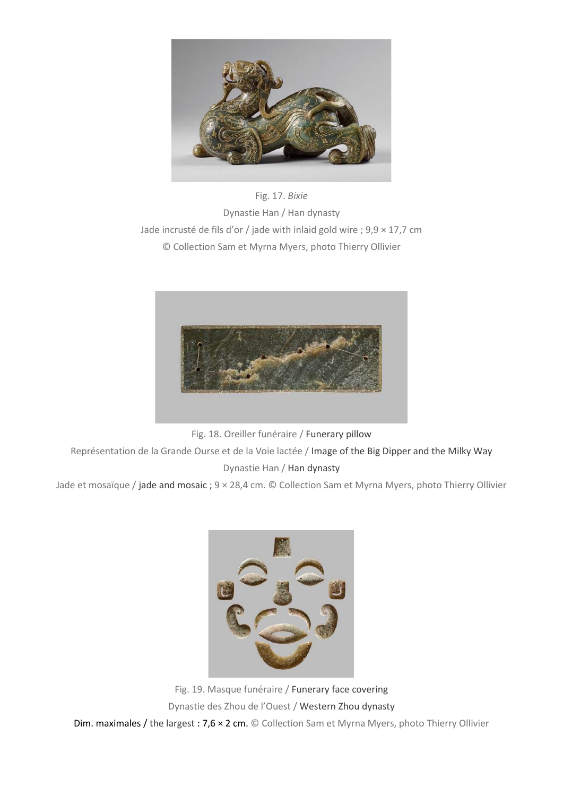

Fig. 17. *Bixie* Dynastie Han / Han dynasty Jade incrusté de fils d'or / jade with inlaid gold wire ; 9,9 × 17,7 cm © Collection Sam et Myrna Myers, photo Thierry Ollivier



Fig. 18. Oreiller funéraire / Funerary pillow

Représentation de la Grande Ourse et de la Voie lactée / Image of the Big Dipper and the Milky Way Dynastie Han / Han dynasty

Jade et mosaïque / jade and mosaic ; 9 × 28,4 cm. © Collection Sam et Myrna Myers, photo Thierry Ollivier



Fig. 19. Masque funéraire / Funerary face covering Dynastie des Zhou de l'Ouest / Western Zhou dynasty Dim. maximales / the largest : 7,6 × 2 cm. © Collection Sam et Myrna Myers, photo Thierry Ollivier